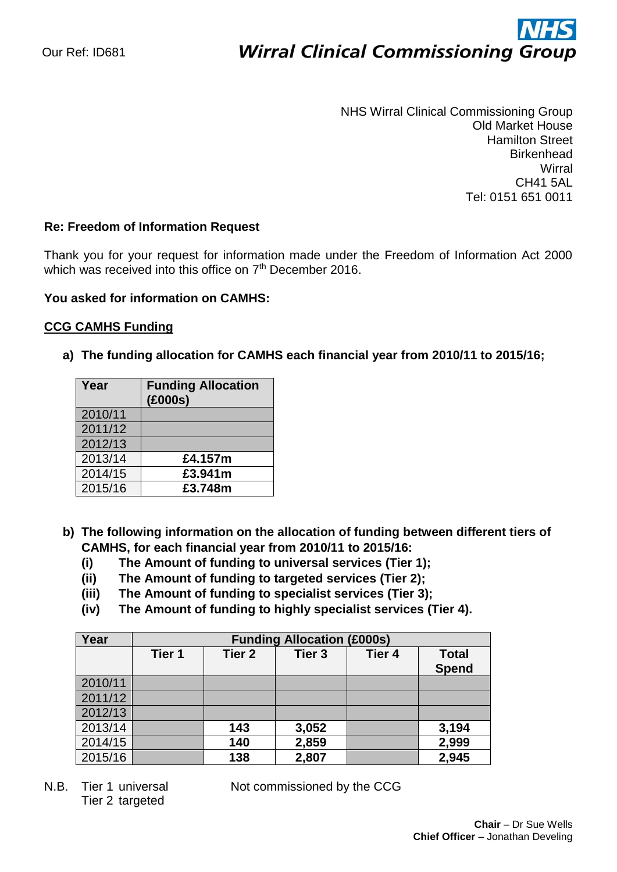# ì **Wirral Clinical Commissioning Group**

NHS Wirral Clinical Commissioning Group Old Market House Hamilton Street **Birkenhead Wirral** CH41 5AL Tel: 0151 651 0011

## **Re: Freedom of Information Request**

Thank you for your request for information made under the Freedom of Information Act 2000 which was received into this office on  $7<sup>th</sup>$  December 2016.

## **You asked for information on CAMHS:**

## **CCG CAMHS Funding**

**a) The funding allocation for CAMHS each financial year from 2010/11 to 2015/16;**

| Year    | <b>Funding Allocation</b><br>(£000s) |
|---------|--------------------------------------|
| 2010/11 |                                      |
| 2011/12 |                                      |
| 2012/13 |                                      |
| 2013/14 | £4.157m                              |
| 2014/15 | £3.941m                              |
| 2015/16 | £3.748m                              |

- **b) The following information on the allocation of funding between different tiers of CAMHS, for each financial year from 2010/11 to 2015/16:**
	- **(i) The Amount of funding to universal services (Tier 1);**
	- **(ii) The Amount of funding to targeted services (Tier 2);**
	- **(iii) The Amount of funding to specialist services (Tier 3);**
	- **(iv) The Amount of funding to highly specialist services (Tier 4).**

| Year    | <b>Funding Allocation (£000s)</b> |                   |                   |        |                              |  |
|---------|-----------------------------------|-------------------|-------------------|--------|------------------------------|--|
|         | Tier 1                            | Tier <sub>2</sub> | Tier <sub>3</sub> | Tier 4 | <b>Total</b><br><b>Spend</b> |  |
| 2010/11 |                                   |                   |                   |        |                              |  |
| 2011/12 |                                   |                   |                   |        |                              |  |
| 2012/13 |                                   |                   |                   |        |                              |  |
| 2013/14 |                                   | 143               | 3,052             |        | 3,194                        |  |
| 2014/15 |                                   | 140               | 2,859             |        | 2,999                        |  |
| 2015/16 |                                   | 138               | 2,807             |        | 2,945                        |  |

Tier 2 targeted

N.B. Tier 1 universal Not commissioned by the CCG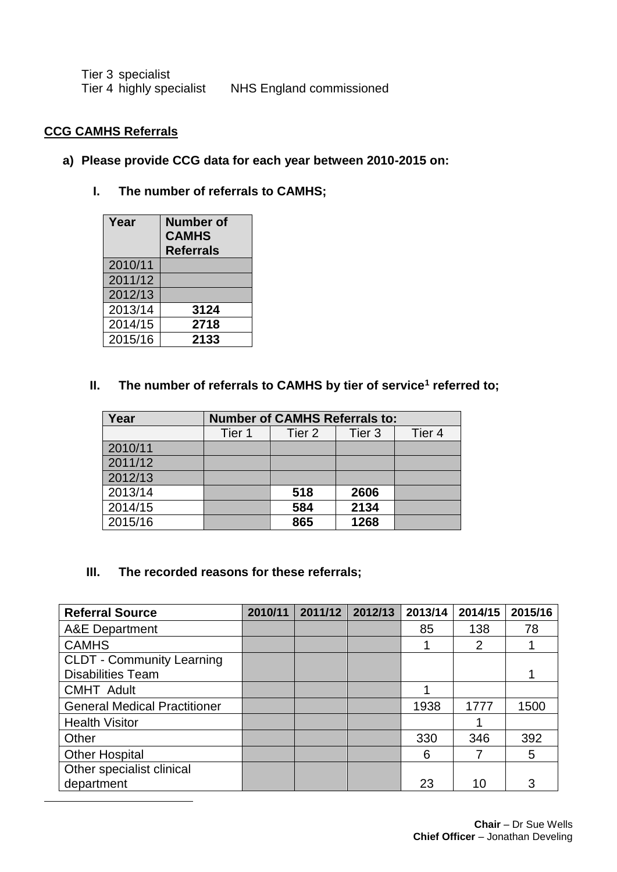| Tier 3 specialist        |                          |
|--------------------------|--------------------------|
| Tier 4 highly specialist | NHS England commissioned |

## **CCG CAMHS Referrals**

l

## **a) Please provide CCG data for each year between 2010-2015 on:**

# **I. The number of referrals to CAMHS;**

| Year    | <b>Number of</b><br><b>CAMHS</b><br><b>Referrals</b> |
|---------|------------------------------------------------------|
| 2010/11 |                                                      |
| 2011/12 |                                                      |
| 2012/13 |                                                      |
| 2013/14 | 3124                                                 |
| 2014/15 | 2718                                                 |
| 2015/16 | 2133                                                 |

## **II. The number of referrals to CAMHS by tier of service<sup>1</sup> referred to;**

| Year    | <b>Number of CAMHS Referrals to:</b> |        |        |        |  |
|---------|--------------------------------------|--------|--------|--------|--|
|         | Tier 1                               | Tier 2 | Tier 3 | Tier 4 |  |
| 2010/11 |                                      |        |        |        |  |
| 2011/12 |                                      |        |        |        |  |
| 2012/13 |                                      |        |        |        |  |
| 2013/14 |                                      | 518    | 2606   |        |  |
| 2014/15 |                                      | 584    | 2134   |        |  |
| 2015/16 |                                      | 865    | 1268   |        |  |

## **III. The recorded reasons for these referrals;**

| <b>Referral Source</b>              | 2010/11 | 2011/12 | 2012/13 | 2013/14 | 2014/15 | 2015/16 |
|-------------------------------------|---------|---------|---------|---------|---------|---------|
| <b>A&amp;E</b> Department           |         |         |         | 85      | 138     | 78      |
| <b>CAMHS</b>                        |         |         |         |         | 2       |         |
| <b>CLDT - Community Learning</b>    |         |         |         |         |         |         |
| <b>Disabilities Team</b>            |         |         |         |         |         |         |
| <b>CMHT Adult</b>                   |         |         |         |         |         |         |
| <b>General Medical Practitioner</b> |         |         |         | 1938    | 1777    | 1500    |
| <b>Health Visitor</b>               |         |         |         |         |         |         |
| Other                               |         |         |         | 330     | 346     | 392     |
| <b>Other Hospital</b>               |         |         |         | 6       |         | 5       |
| Other specialist clinical           |         |         |         |         |         |         |
| department                          |         |         |         | 23      | 10      | 3       |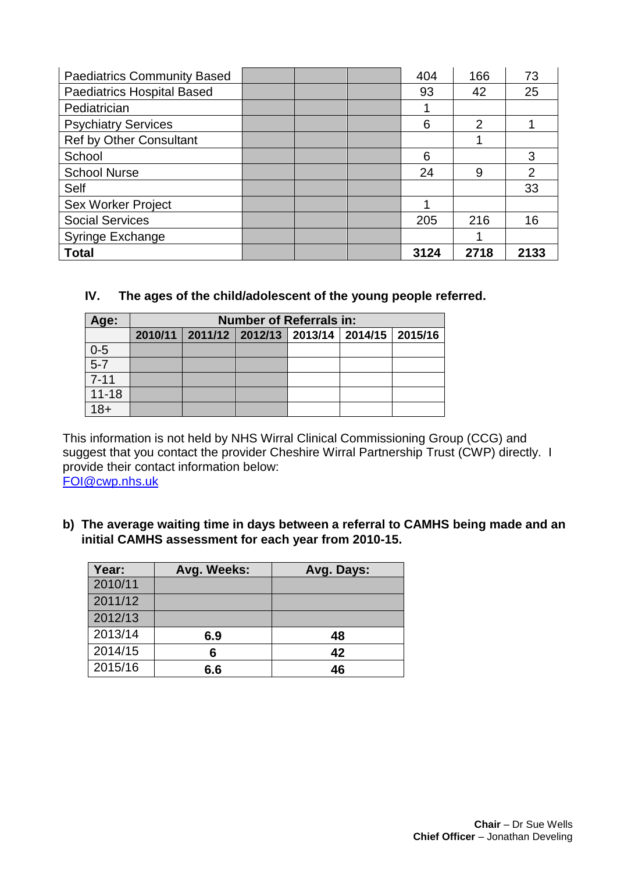| <b>Paediatrics Community Based</b> |  | 404  | 166            | 73   |
|------------------------------------|--|------|----------------|------|
| <b>Paediatrics Hospital Based</b>  |  | 93   | 42             | 25   |
| Pediatrician                       |  |      |                |      |
| <b>Psychiatry Services</b>         |  | 6    | $\overline{2}$ |      |
| <b>Ref by Other Consultant</b>     |  |      |                |      |
| School                             |  | 6    |                | 3    |
| <b>School Nurse</b>                |  | 24   | 9              | 2    |
| <b>Self</b>                        |  |      |                | 33   |
| <b>Sex Worker Project</b>          |  |      |                |      |
| <b>Social Services</b>             |  | 205  | 216            | 16   |
| Syringe Exchange                   |  |      |                |      |
| <b>Total</b>                       |  | 3124 | 2718           | 2133 |

# **IV. The ages of the child/adolescent of the young people referred.**

| Age:            | <b>Number of Referrals in:</b>                            |  |  |  |  |  |  |
|-----------------|-----------------------------------------------------------|--|--|--|--|--|--|
|                 | 2010/11   2011/12   2012/13   2013/14   2014/15   2015/16 |  |  |  |  |  |  |
| $rac{0-5}{5-7}$ |                                                           |  |  |  |  |  |  |
|                 |                                                           |  |  |  |  |  |  |
| $7 - 11$        |                                                           |  |  |  |  |  |  |
| $11 - 18$       |                                                           |  |  |  |  |  |  |
| 18+             |                                                           |  |  |  |  |  |  |

This information is not held by NHS Wirral Clinical Commissioning Group (CCG) and suggest that you contact the provider Cheshire Wirral Partnership Trust (CWP) directly. I provide their contact information below:

[FOI@cwp.nhs.uk](mailto:FOI@cwp.nhs.uk)

**b) The average waiting time in days between a referral to CAMHS being made and an initial CAMHS assessment for each year from 2010-15.** 

| Year:   | Avg. Weeks: | Avg. Days: |
|---------|-------------|------------|
| 2010/11 |             |            |
| 2011/12 |             |            |
| 2012/13 |             |            |
| 2013/14 | 6.9         | 48         |
| 2014/15 | 6           | 42         |
| 2015/16 | 6.6         | 46         |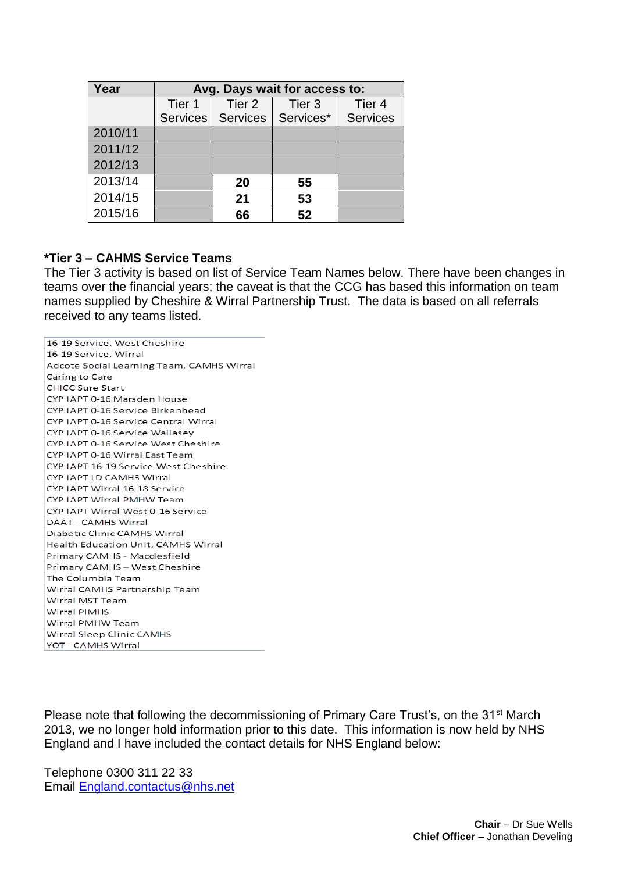| Year    | Avg. Days wait for access to: |        |                                 |                 |  |  |
|---------|-------------------------------|--------|---------------------------------|-----------------|--|--|
|         | Tier 1                        | Tier 2 | Tier <sub>3</sub>               | Tier 4          |  |  |
|         |                               |        | Services   Services   Services* | <b>Services</b> |  |  |
| 2010/11 |                               |        |                                 |                 |  |  |
| 2011/12 |                               |        |                                 |                 |  |  |
| 2012/13 |                               |        |                                 |                 |  |  |
| 2013/14 |                               | 20     | 55                              |                 |  |  |
| 2014/15 |                               | 21     | 53                              |                 |  |  |
| 2015/16 |                               | 66     | 52                              |                 |  |  |

#### **\*Tier 3 – CAHMS Service Teams**

The Tier 3 activity is based on list of Service Team Names below. There have been changes in teams over the financial years; the caveat is that the CCG has based this information on team names supplied by Cheshire & Wirral Partnership Trust. The data is based on all referrals received to any teams listed.

16-19 Service, West Cheshire 16-19 Service, Wirral Adcote Social Learning Team, CAMHS Wirral Caring to Care CHICC Sure Start CYP IAPT 0-16 Marsden House CYP IAPT 0-16 Service Birkenhead CYP IAPT 0-16 Service Central Wirral CYP IAPT 0-16 Service Wallasey CYP IAPT 0-16 Service West Cheshire CYP IAPT 0-16 Wirral East Team CYP JAPT 16-19 Service West Cheshire CYP IAPT LD CAMHS Wirral CYP IAPT Wirral 16-18 Service CYP IAPT Wirral PMHW Team CYP IAPT Wirral West 0-16 Service **DAAT - CAMHS Wirral** Diabetic Clinic CAMHS Wirral Health Education Unit, CAMHS Wirral Primary CAMHS - Macclesfield Primary CAMHS - West Cheshire The Columbia Team Wirral CAMHS Partnership Team Wirral MST Team Wirral PIMHS Wirral PMHW Team Wirral Sleep Clinic CAMHS YOT - CAMHS Wirral

Please note that following the decommissioning of Primary Care Trust's, on the 31<sup>st</sup> March 2013, we no longer hold information prior to this date. This information is now held by NHS England and I have included the contact details for NHS England below:

Telephone 0300 311 22 33 Email [England.contactus@nhs.net](mailto:England.contactus@nhs.net)